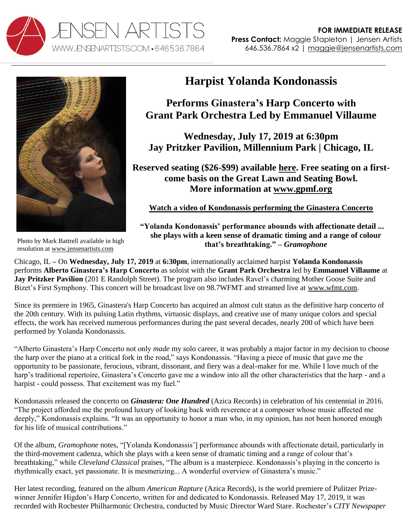



## **Harpist Yolanda Kondonassis**

## **Performs Ginastera's Harp Concerto with Grant Park Orchestra Led by Emmanuel Villaume**

**Wednesday, July 17, 2019 at 6:30pm Jay Pritzker Pavilion, Millennium Park | Chicago, IL**

**Reserved seating (\$26-\$99) available [here.](https://my.grantparkmusicfestival.com/single/SYOS.aspx?p=8628) Free seating on a firstcome basis on the Great Lawn and Seating Bowl. More information at [www.gpmf.org](https://grantparkmusicfestival.com/2019-season/mother-goose)**

**Watch a video of Kondonassis [performing the Ginastera Concerto](https://www.youtube.com/watch?v=rU2IbEC3crg&feature=youtu.be)**

**"Yolanda Kondonassis' performance abounds with affectionate detail ... she plays with a keen sense of dramatic timing and a range of colour that's breathtaking." –** *Gramophone*

Photo by Mark Battrell available in high resolution at [www.jensenartists.com](http://www.jensenartists.com/)

Chicago, IL **–** On **Wednesday, July 17, 2019** at **6:30pm**, internationally acclaimed harpist **Yolanda Kondonassis** performs **Alberto Ginastera's Harp Concerto** as soloist with the **Grant Park Orchestra** led by **Emmanuel Villaume** at **Jay Pritzker Pavilion** (201 E Randolph Street). The program also includes Ravel's charming Mother Goose Suite and Bizet's First Symphony. This concert will be broadcast live on 98.7WFMT and streamed live at [www.wfmt.com.](http://www.wfmt.com/)

Since its premiere in 1965, Ginastera's Harp Concerto has acquired an almost cult status as the definitive harp concerto of the 20th century. With its pulsing Latin rhythms, virtuosic displays, and creative use of many unique colors and special effects, the work has received numerous performances during the past several decades, nearly 200 of which have been performed by Yolanda Kondonassis.

"Alberto Ginastera's Harp Concerto not only *made* my solo career, it was probably a major factor in my decision to choose the harp over the piano at a critical fork in the road," says Kondonassis. "Having a piece of music that gave me the opportunity to be passionate, ferocious, vibrant, dissonant, and fiery was a deal-maker for me. While I love much of the harp's traditional repertoire, Ginastera's Concerto gave me a window into all the other characteristics that the harp - and a harpist - could possess. That excitement was my fuel."

Kondonassis released the concerto on *Ginastera: One Hundred* (Azica Records) in celebration of his centennial in 2016. "The project afforded me the profound luxury of looking back with reverence at a composer whose music affected me deeply," Kondonassis explains. "It was an opportunity to honor a man who, in my opinion, has not been honored enough for his life of musical contributions."

Of the album, *Gramophone* notes*,* "[Yolanda Kondonassis'] performance abounds with affectionate detail, particularly in the third-movement cadenza, which she plays with a keen sense of dramatic timing and a range of colour that's breathtaking," while *Cleveland Classical* praises, "The album is a masterpiece. Kondonassis's playing in the concerto is rhythmically exact, yet passionate. It is mesmerizing... A wonderful overview of Ginastera's music."

Her latest recording*,* featured on the album *American Rapture* (Azica Records)*,* is the world premiere of Pulitzer Prizewinner Jennifer Higdon's Harp Concerto, written for and dedicated to Kondonassis. Released May 17, 2019, it was recorded with Rochester Philharmonic Orchestra, conducted by Music Director Ward Stare. Rochester's *CITY Newspaper*